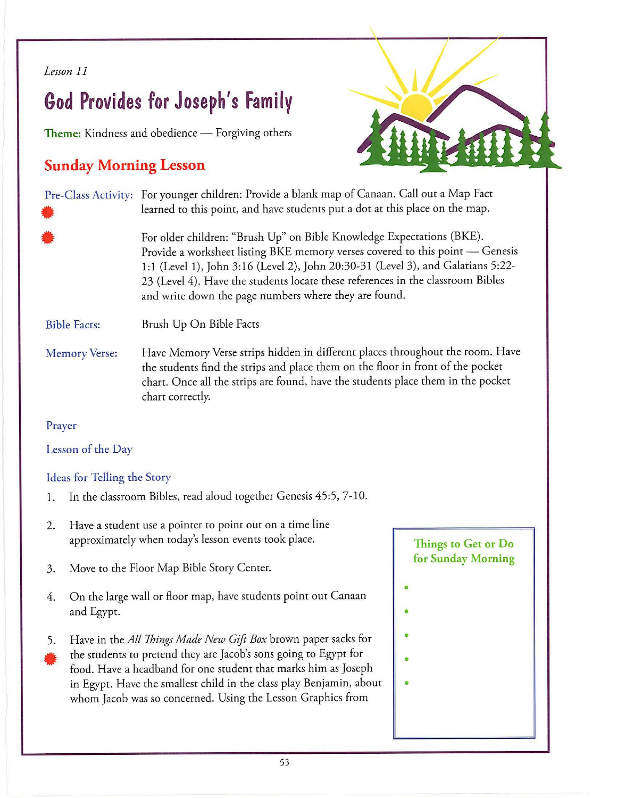### *Lesson 11*

# **God Provides for Joseph's Family**

**Theme:** Kindness and obedience - Forgiving others

# **Sunday Morning Lesson**



| 羃                    | Pre-Class Activity: For younger children: Provide a blank map of Canaan. Call out a Map Fact<br>learned to this point, and have students put a dot at this place on the map.                                                                                                                                                                                                           |
|----------------------|----------------------------------------------------------------------------------------------------------------------------------------------------------------------------------------------------------------------------------------------------------------------------------------------------------------------------------------------------------------------------------------|
| 糕                    | For older children: "Brush Up" on Bible Knowledge Expectations (BKE).<br>Provide a worksheet listing BKE memory verses covered to this point - Genesis<br>1:1 (Level 1), John 3:16 (Level 2), John 20:30-31 (Level 3), and Galatians 5:22-<br>23 (Level 4). Have the students locate these references in the classroom Bibles<br>and write down the page numbers where they are found. |
| <b>Bible Facts:</b>  | Brush Up On Bible Facts                                                                                                                                                                                                                                                                                                                                                                |
| <b>Memory Verse:</b> | Have Memory Verse strips hidden in different places throughout the room. Have<br>the students find the strips and place them on the floor in front of the pocket<br>chart. Once all the strips are found, have the students place them in the pocket<br>chart correctly.                                                                                                               |

## Prayer

## Lesson of the Day

# Ideas for Telling the Story

- 1. In the classroom Bibles, read aloud together Genesis 45:5, 7-10.
- 2. Have a student use a pointer to point out on a time line approximately when today's lesson events took place.
- 3. Move to the Floor Map Bible Story Center.
- 4. On the large wall or floor map, have students point out Canaan and Egypt.
- 5. )<br> t<br> f<br> i Have in the *All Things Made New Gift Box* brown paper sacks for the students to pretend they are Jacob's sons going to Egypt for food. Have a headband for one student that marks him as Joseph in Egypt. Have the smallest child in the class play Benjamin, about whom Jacob was so concerned. Using the Lesson Graphics from

# **Things to Get or Do for Sunday Morning**

- - •
	- •
	- •
	- •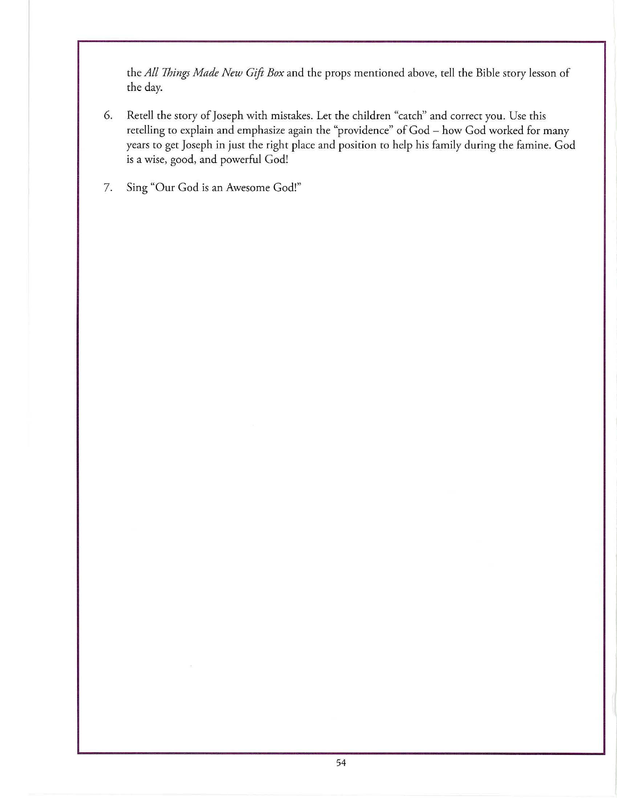the *All Things Made New Gift Box* and che props mentioned above, cell che Bible story lesson of che day.

- 6. Recell the story of Joseph with mistakes. Let the children "catch" and correct you. Use chis retelling to explain and emphasize again the "providence" of God - how God worked for many years co gee Joseph in just the right place and position co help his family during the famine. God is a wise, good, and powerful God!
- 7. Sing "Our God is an Awesome God!"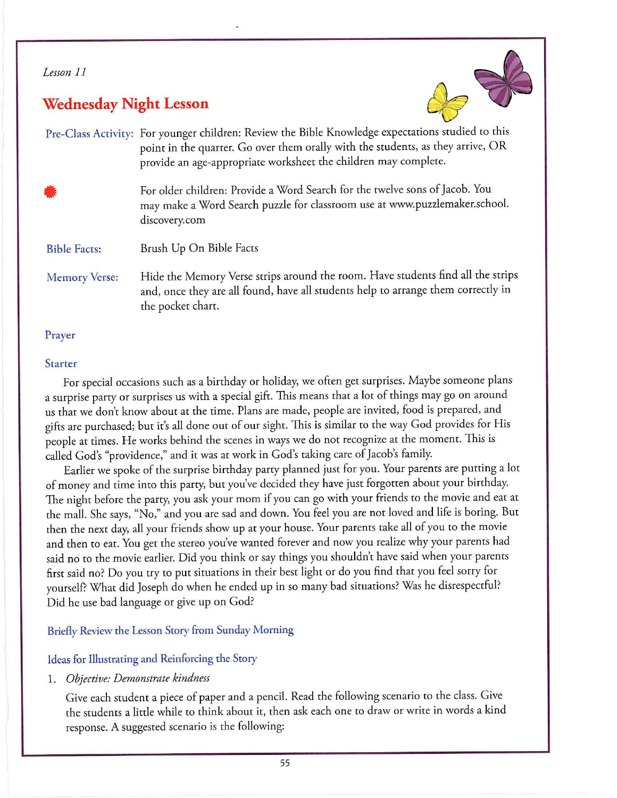### *Lesson 11*

# **Wednesday Night Lesson**



Pre-Class Activity: For younger children: Review the Bible Knowledge expectations studied to this point in the quarter. Go over them orally with the students, as they arrive, OR provide an age-appropriate worksheet the children may complete.

• For older children: Provide a Word Search for the twelve sons of Jacob. You may make a Word Search puzzle for classroom use at www. puzzlemaker.school. discovery.com

Bible Facts: Brush Up On Bible Facts

Memory Verse: Hide the Memory Verse strips around the room. Have students find all the strips and, once they are all found, have all students help to arrange them correctly in the pocket chart.

### Prayer

### Starter

For special occasions such as a birthday or holiday, we often get surprises. Maybe someone plans a surprise party or surprises us with a special gift. This means that a lot of things may go on around us that we don't know about at the time. Plans are made, people are invited, food is prepared, and gifts are purchased; but it's all done out of our sight. This is similar to the way God provides for His people at times. He works behind the scenes in ways we do not recognize at the moment. This is called God's "providence," and it was at work in God's taking care of Jacob's family.

Earlier we spoke of the surprise birthday party planned just for you. Your parents are putting a lot of money and time into this party, but you've decided they have just forgotten about your birthday. The night before the party, you ask your mom if you can go with your friends to the movie and eat at the mall. She says, "No," and you are sad and down. You feel you are not loved and life is boring. But then the next day, all your friends show up at your house. Your parents take all of you to the movie and then to eat. You get the stereo you've wanted forever and now you realize why your parents had said no to the movie earlier. Did you think or say things you shouldn't have said when your parents first said no? Do you try to put situations in their best light or do you find that you feel sorry for yourself? What did Joseph do when he ended up in so many bad situations? Was he disrespectful? Did he use bad language or give up on God?

### Briefly Review the Lesson Story from Sunday Morning

### Ideas for Illustrating and Reinforcing the Story

1. *Objective: Demonstrate kindness* 

Give each student a piece of paper and a pencil. Read the following scenario to the class. Give the students a little while to think about it, then ask each one to draw or write in words a kind response. A suggested scenario is the following: